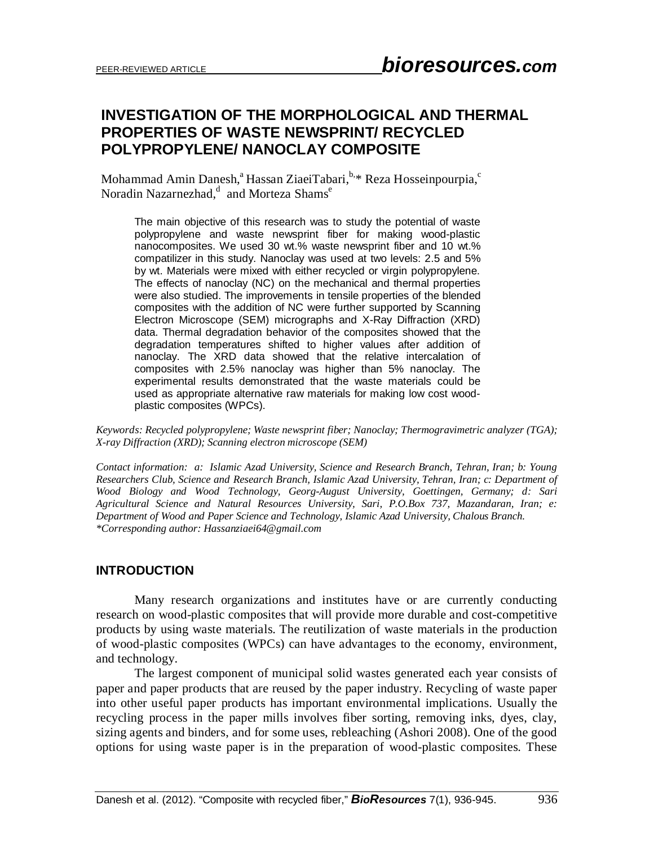# **INVESTIGATION OF THE MORPHOLOGICAL AND THERMAL PROPERTIES OF WASTE NEWSPRINT/ RECYCLED POLYPROPYLENE/ NANOCLAY COMPOSITE**

Mohammad Amin Danesh,<sup>a</sup> Hassan ZiaeiTabari, $b^*$  Reza Hosseinpourpia,<sup>c</sup> Noradin Nazarnezhad,<sup>d</sup> and Morteza Shams<sup>e</sup>

The main objective of this research was to study the potential of waste polypropylene and waste newsprint fiber for making wood-plastic nanocomposites. We used 30 wt.% waste newsprint fiber and 10 wt.% compatilizer in this study. Nanoclay was used at two levels: 2.5 and 5% by wt. Materials were mixed with either recycled or virgin polypropylene. The effects of nanoclay (NC) on the mechanical and thermal properties were also studied. The improvements in tensile properties of the blended composites with the addition of NC were further supported by Scanning Electron Microscope (SEM) micrographs and X-Ray Diffraction (XRD) data. Thermal degradation behavior of the composites showed that the degradation temperatures shifted to higher values after addition of nanoclay. The XRD data showed that the relative intercalation of composites with 2.5% nanoclay was higher than 5% nanoclay. The experimental results demonstrated that the waste materials could be used as appropriate alternative raw materials for making low cost woodplastic composites (WPCs).

*Keywords: Recycled polypropylene; Waste newsprint fiber; Nanoclay; Thermogravimetric analyzer (TGA); X-ray Diffraction (XRD); Scanning electron microscope (SEM)*

*Contact information: a: Islamic Azad University, Science and Research Branch, Tehran, Iran; b: Young Researchers Club, Science and Research Branch, Islamic Azad University, Tehran, Iran; c: Department of Wood Biology and Wood Technology, Georg-August University, Goettingen, Germany; d: Sari Agricultural Science and Natural Resources University, Sari, P.O.Box 737, Mazandaran, Iran; e: Department of Wood and Paper Science and Technology, Islamic Azad University, Chalous Branch. \*Corresponding author[: Hassanziaei64@gmail.com](mailto:Hassanziaei64@gmail.com)*

#### **INTRODUCTION**

Many research organizations and institutes have or are currently conducting research on wood-plastic composites that will provide more durable and cost-competitive products by using waste materials. The reutilization of waste materials in the production of wood-plastic composites (WPCs) can have advantages to the economy, environment, and technology.

The largest component of municipal solid wastes generated each year consists of paper and paper products that are reused by the paper industry. Recycling of waste paper into other useful paper products has important environmental implications. Usually the recycling process in the paper mills involves fiber sorting, removing inks, dyes, clay, sizing agents and binders, and for some uses, rebleaching (Ashori 2008). One of the good options for using waste paper is in the preparation of wood-plastic composites. These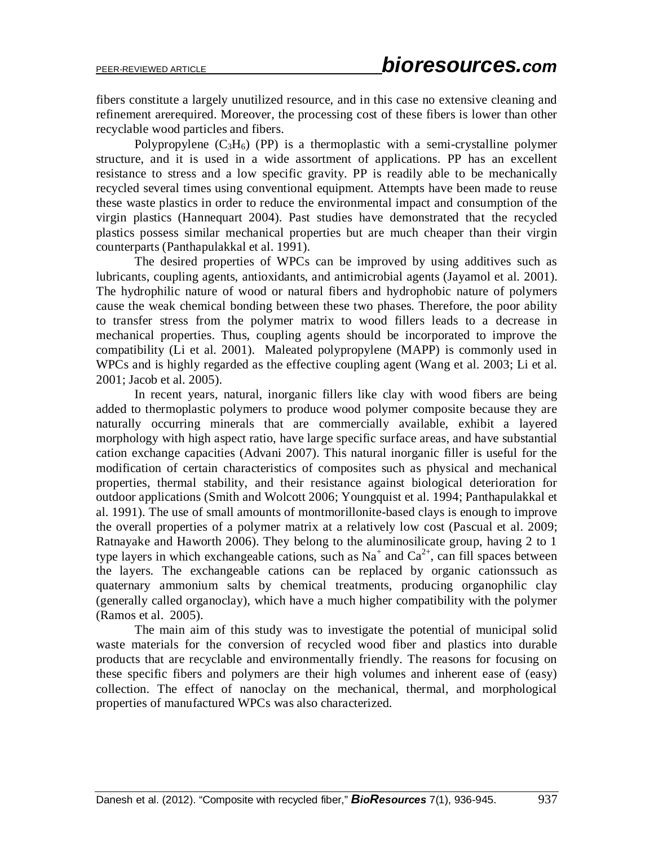fibers constitute a largely unutilized resource, and in this case no extensive cleaning and refinement arerequired. Moreover, the processing cost of these fibers is lower than other recyclable wood particles and fibers.

Polypropylene  $(C_3H_6)$  (PP) is a thermoplastic with a semi-crystalline polymer structure, and it is used in a wide assortment of applications. PP has an excellent resistance to stress and a low specific gravity. PP is readily able to be mechanically recycled several times using conventional equipment. Attempts have been made to reuse these waste plastics in order to reduce the environmental impact and consumption of the virgin plastics (Hannequart 2004). Past studies have demonstrated that the recycled plastics possess similar mechanical properties but are much cheaper than their virgin counterparts (Panthapulakkal et al. 1991).

The desired properties of WPCs can be improved by using additives such as lubricants, coupling agents, antioxidants, and antimicrobial agents (Jayamol et al. 2001). The hydrophilic nature of wood or natural fibers and hydrophobic nature of polymers cause the weak chemical bonding between these two phases. Therefore, the poor ability to transfer stress from the polymer matrix to wood fillers leads to a decrease in mechanical properties. Thus, coupling agents should be incorporated to improve the compatibility (Li et al. 2001). Maleated polypropylene (MAPP) is commonly used in WPCs and is highly regarded as the effective coupling agent (Wang et al. 2003; Li et al. 2001; Jacob et al. 2005).

In recent years, natural, inorganic fillers like clay with wood fibers are being added to thermoplastic polymers to produce wood polymer composite because they are naturally occurring minerals that are commercially available, exhibit a layered morphology with high aspect ratio, have large specific surface areas, and have substantial cation exchange capacities (Advani 2007). This natural inorganic filler is useful for the modification of certain characteristics of composites such as physical and mechanical properties, thermal stability, and their resistance against biological deterioration for outdoor applications (Smith and Wolcott 2006; Youngquist et al. 1994; Panthapulakkal et al. 1991). The use of small amounts of montmorillonite-based clays is enough to improve the overall properties of a polymer matrix at a relatively low cost (Pascual et al. 2009; Ratnayake and Haworth 2006). They belong to the aluminosilicate group, having 2 to 1 type layers in which exchangeable cations, such as  $Na^+$  and  $Ca^{2+}$ , can fill spaces between the layers. The exchangeable cations can be replaced by organic cationssuch as quaternary ammonium salts by chemical treatments, producing organophilic clay (generally called organoclay), which have a much higher compatibility with the polymer (Ramos et al. 2005).

The main aim of this study was to investigate the potential of municipal solid waste materials for the conversion of recycled wood fiber and plastics into durable products that are recyclable and environmentally friendly. The reasons for focusing on these specific fibers and polymers are their high volumes and inherent ease of (easy) collection. The effect of nanoclay on the mechanical, thermal, and morphological properties of manufactured WPCs was also characterized.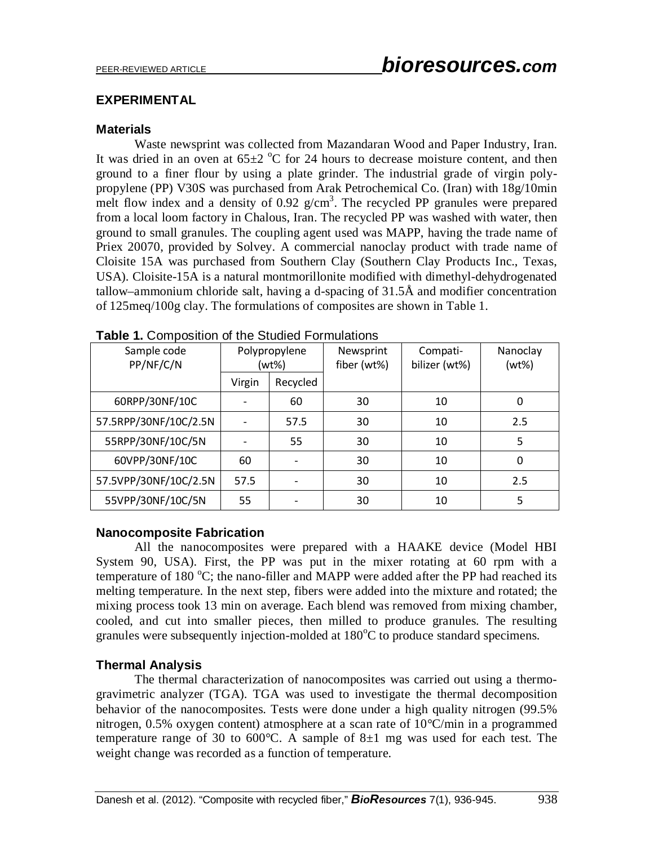#### **EXPERIMENTAL**

#### **Materials**

Waste newsprint was collected from Mazandaran Wood and Paper Industry, Iran. It was dried in an oven at  $65\pm2$  °C for 24 hours to decrease moisture content, and then ground to a finer flour by using a plate grinder. The industrial grade of virgin polypropylene (PP) V30S was purchased from Arak Petrochemical Co. (Iran) with 18g/10min melt flow index and a density of  $0.92$  g/cm<sup>3</sup>. The recycled PP granules were prepared from a local loom factory in Chalous, Iran. The recycled PP was washed with water, then ground to small granules. The coupling agent used was MAPP, having the trade name of Priex 20070, provided by Solvey. A commercial nanoclay product with trade name of Cloisite 15A was purchased from Southern Clay (Southern Clay Products Inc., Texas, USA). Cloisite-15A is a natural montmorillonite modified with dimethyl-dehydrogenated tallow–ammonium chloride salt, having a d-spacing of 31.5Å and modifier concentration of 125meq/100g clay. The formulations of composites are shown in Table 1.

| Sample code<br>PP/NF/C/N | Polypropylene<br>(wt%) |          | Newsprint<br>fiber (wt%) | Compati-<br>bilizer (wt%) | Nanoclay<br>(wt%) |
|--------------------------|------------------------|----------|--------------------------|---------------------------|-------------------|
|                          | Virgin                 | Recycled |                          |                           |                   |
| 60RPP/30NF/10C           |                        | 60       | 30                       | 10                        | 0                 |
| 57.5RPP/30NF/10C/2.5N    |                        | 57.5     | 30                       | 10                        | 2.5               |
| 55RPP/30NF/10C/5N        |                        | 55       | 30                       | 10                        | 5                 |
| 60VPP/30NF/10C           | 60                     |          | 30                       | 10                        | 0                 |
| 57.5VPP/30NF/10C/2.5N    | 57.5                   |          | 30                       | 10                        | 2.5               |
| 55VPP/30NF/10C/5N        | 55                     |          | 30                       | 10                        | 5                 |

**Table 1.** Composition of the Studied Formulations

## **Nanocomposite Fabrication**

All the nanocomposites were prepared with a HAAKE device (Model HBI System 90, USA). First, the PP was put in the mixer rotating at 60 rpm with a temperature of 180  $^{\circ}$ C; the nano-filler and MAPP were added after the PP had reached its melting temperature. In the next step, fibers were added into the mixture and rotated; the mixing process took 13 min on average. Each blend was removed from mixing chamber, cooled, and cut into smaller pieces, then milled to produce granules. The resulting granules were subsequently injection-molded at 180°C to produce standard specimens.

## **Thermal Analysis**

The thermal characterization of nanocomposites was carried out using a thermogravimetric analyzer (TGA). TGA was used to investigate the thermal decomposition behavior of the nanocomposites. Tests were done under a high quality nitrogen (99.5% nitrogen, 0.5% oxygen content) atmosphere at a scan rate of 10°C/min in a programmed temperature range of 30 to 600 $^{\circ}$ C. A sample of 8 $\pm$ 1 mg was used for each test. The weight change was recorded as a function of temperature.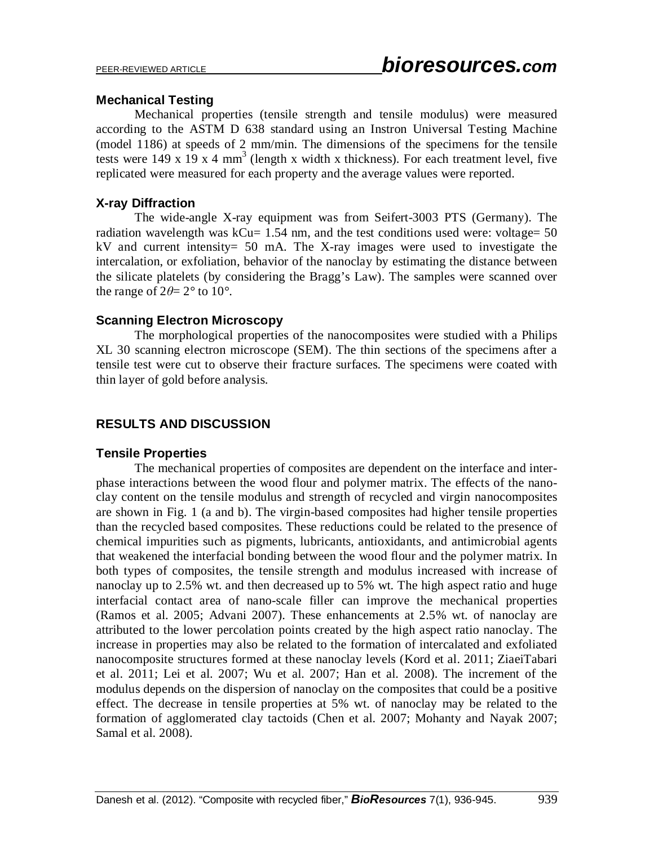#### **Mechanical Testing**

Mechanical properties (tensile strength and tensile modulus) were measured according to the ASTM D 638 standard using an Instron Universal Testing Machine (model 1186) at speeds of 2 mm/min. The dimensions of the specimens for the tensile tests were  $149 \times 19 \times 4 \text{ mm}^3$  (length x width x thickness). For each treatment level, five replicated were measured for each property and the average values were reported.

### **X-ray Diffraction**

The wide-angle X-ray equipment was from Seifert-3003 PTS (Germany). The radiation wavelength was kCu=  $1.54$  nm, and the test conditions used were: voltage=  $50$ kV and current intensity= 50 mA. The X-ray images were used to investigate the intercalation, or exfoliation, behavior of the nanoclay by estimating the distance between the silicate platelets (by considering the Bragg's Law). The samples were scanned over the range of  $2\theta = 2^{\circ}$  to  $10^{\circ}$ .

#### **Scanning Electron Microscopy**

The morphological properties of the nanocomposites were studied with a Philips XL 30 scanning electron microscope (SEM). The thin sections of the specimens after a tensile test were cut to observe their fracture surfaces. The specimens were coated with thin layer of gold before analysis.

## **RESULTS AND DISCUSSION**

#### **Tensile Properties**

The mechanical properties of composites are dependent on the interface and interphase interactions between the wood flour and polymer matrix. The effects of the nanoclay content on the tensile modulus and strength of recycled and virgin nanocomposites are shown in Fig. 1 (a and b). The virgin-based composites had higher tensile properties than the recycled based composites. These reductions could be related to the presence of chemical impurities such as pigments, lubricants, antioxidants, and antimicrobial agents that weakened the interfacial bonding between the wood flour and the polymer matrix. In both types of composites, the tensile strength and modulus increased with increase of nanoclay up to 2.5% wt. and then decreased up to 5% wt. The high aspect ratio and huge interfacial contact area of nano-scale filler can improve the mechanical properties (Ramos et al. 2005; Advani 2007). These enhancements at 2.5% wt. of nanoclay are attributed to the lower percolation points created by the high aspect ratio nanoclay. The increase in properties may also be related to the formation of intercalated and exfoliated nanocomposite structures formed at these nanoclay levels (Kord et al. 2011; ZiaeiTabari et al. 2011; Lei et al. 2007; Wu et al. 2007; Han et al. 2008). The increment of the modulus depends on the dispersion of nanoclay on the composites that could be a positive effect. The decrease in tensile properties at 5% wt. of nanoclay may be related to the formation of agglomerated clay tactoids (Chen et al. 2007; Mohanty and Nayak 2007; Samal et al. 2008).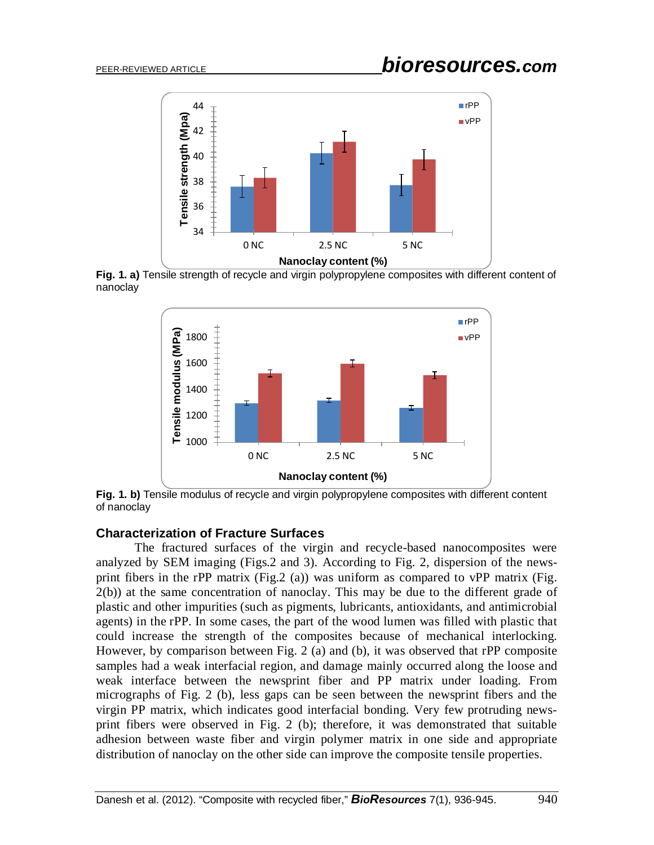

**Fig. 1. a)** Tensile strength of recycle and virgin polypropylene composites with different content of nanoclay



**Fig. 1. b)** Tensile modulus of recycle and virgin polypropylene composites with different content of nanoclay

#### **Characterization of Fracture Surfaces**

The fractured surfaces of the virgin and recycle-based nanocomposites were analyzed by SEM imaging (Figs.2 and 3). According to Fig. 2, dispersion of the newsprint fibers in the rPP matrix (Fig.2 (a)) was uniform as compared to vPP matrix (Fig. 2(b)) at the same concentration of nanoclay. This may be due to the different grade of plastic and other impurities (such as pigments, lubricants, antioxidants, and antimicrobial agents) in the rPP. In some cases, the part of the wood lumen was filled with plastic that could increase the strength of the composites because of mechanical interlocking. However, by comparison between Fig. 2 (a) and (b), it was observed that rPP composite samples had a weak interfacial region, and damage mainly occurred along the loose and weak interface between the newsprint fiber and PP matrix under loading. From micrographs of Fig. 2 (b), less gaps can be seen between the newsprint fibers and the virgin PP matrix, which indicates good interfacial bonding. Very few protruding newsprint fibers were observed in Fig. 2 (b); therefore, it was demonstrated that suitable adhesion between waste fiber and virgin polymer matrix in one side and appropriate distribution of nanoclay on the other side can improve the composite tensile properties.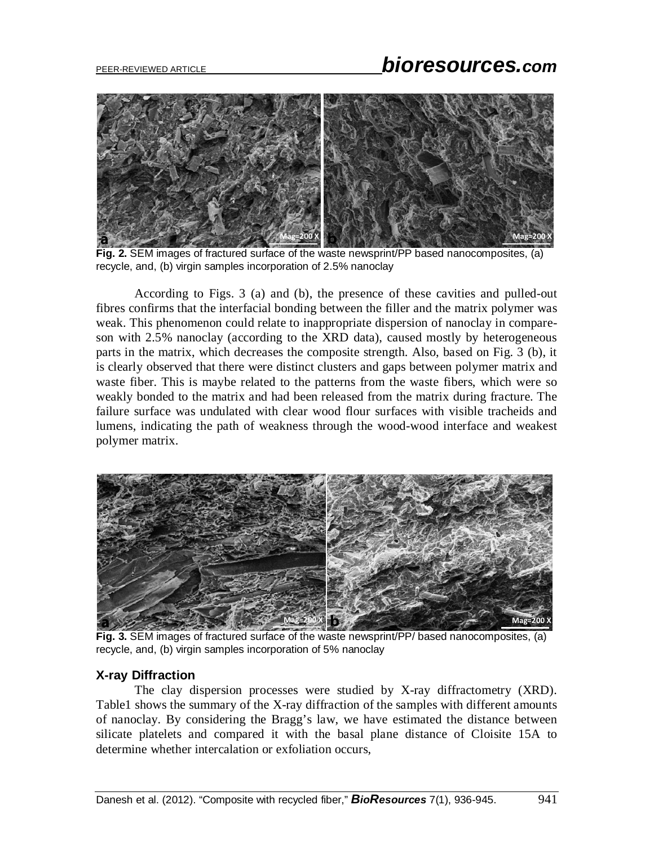

**Fig. 2.** SEM images of fractured surface of the waste newsprint/PP based nanocomposites, (a) recycle, and, (b) virgin samples incorporation of 2.5% nanoclay

According to Figs. 3 (a) and (b), the presence of these cavities and pulled-out fibres confirms that the interfacial bonding between the filler and the matrix polymer was weak. This phenomenon could relate to inappropriate dispersion of nanoclay in compareson with 2.5% nanoclay (according to the XRD data), caused mostly by heterogeneous parts in the matrix, which decreases the composite strength. Also, based on Fig. 3 (b), it is clearly observed that there were distinct clusters and gaps between polymer matrix and waste fiber. This is maybe related to the patterns from the waste fibers, which were so weakly bonded to the matrix and had been released from the matrix during fracture. The failure surface was undulated with clear wood flour surfaces with visible tracheids and lumens, indicating the path of weakness through the wood-wood interface and weakest polymer matrix.



**Fig. 3.** SEM images of fractured surface of the waste newsprint/PP/ based nanocomposites, (a) recycle, and, (b) virgin samples incorporation of 5% nanoclay

## **X-ray Diffraction**

The clay dispersion processes were studied by X-ray diffractometry (XRD). Table1 shows the summary of the X-ray diffraction of the samples with different amounts of nanoclay. By considering the Bragg's law, we have estimated the distance between silicate platelets and compared it with the basal plane distance of Cloisite 15A to determine whether intercalation or exfoliation occurs,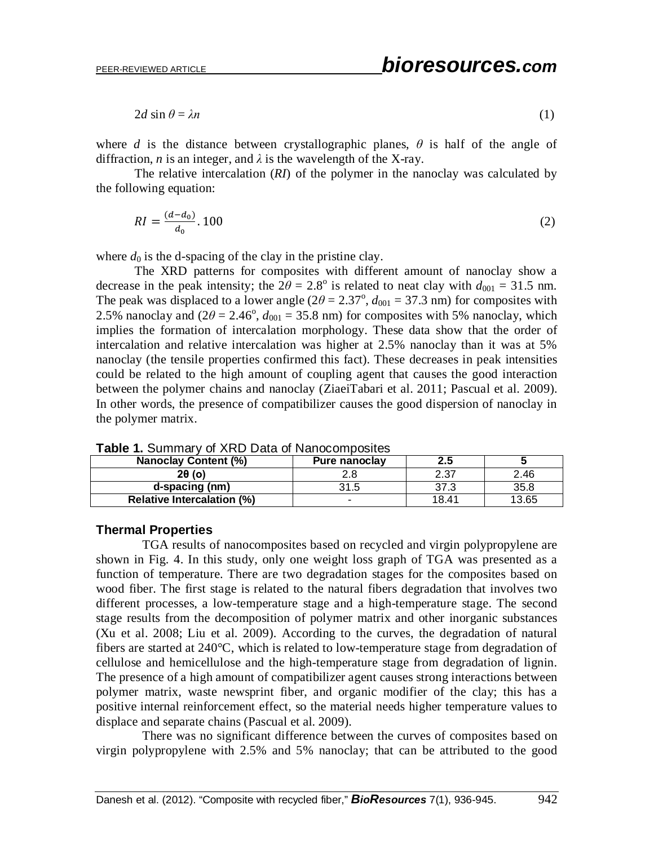$$
2d\sin\theta = \lambda n \tag{1}
$$

where *d* is the distance between crystallographic planes,  $\theta$  is half of the angle of diffraction, *n* is an integer, and  $\lambda$  is the wavelength of the X-ray.

The relative intercalation (*RI*) of the polymer in the nanoclay was calculated by the following equation:

$$
RI = \frac{(d - d_0)}{d_0} \cdot 100 \tag{2}
$$

where  $d_0$  is the d-spacing of the clay in the pristine clay.

The XRD patterns for composites with different amount of nanoclay show a decrease in the peak intensity; the  $2\theta = 2.8^{\circ}$  is related to neat clay with  $d_{001} = 31.5$  nm. The peak was displaced to a lower angle  $(2\theta = 2.37^{\circ}, d_{001} = 37.3 \text{ nm})$  for composites with 2.5% nanoclay and  $(2\theta = 2.46^{\circ}, d_{001} = 35.8 \text{ nm})$  for composites with 5% nanoclay, which implies the formation of intercalation morphology. These data show that the order of intercalation and relative intercalation was higher at 2.5% nanoclay than it was at 5% nanoclay (the tensile properties confirmed this fact). These decreases in peak intensities could be related to the high amount of coupling agent that causes the good interaction between the polymer chains and nanoclay (ZiaeiTabari et al. 2011; Pascual et al. 2009). In other words, the presence of compatibilizer causes the good dispersion of nanoclay in the polymer matrix.

| <b>TUDIO III OUITIITIOI Y OF ATTO D'UTU OF FIGHTOODITIPOOITOO</b> |                      |       |       |  |  |  |  |
|-------------------------------------------------------------------|----------------------|-------|-------|--|--|--|--|
| <b>Nanoclay Content (%)</b>                                       | <b>Pure nanoclav</b> | 2.5   |       |  |  |  |  |
| $2\theta$ (o)                                                     |                      | 2.37  | 2.46  |  |  |  |  |
| d-spacing (nm)                                                    | 31.5                 | 37.3  | 35.8  |  |  |  |  |
| <b>Relative Intercalation (%)</b>                                 |                      | 18.41 | 13.65 |  |  |  |  |

**Table 1.** Summary of XRD Data of Nanocomposites

#### **Thermal Properties**

TGA results of nanocomposites based on recycled and virgin polypropylene are shown in Fig. 4. In this study, only one weight loss graph of TGA was presented as a function of temperature. There are two degradation stages for the composites based on wood fiber. The first stage is related to the natural fibers degradation that involves two different processes, a low-temperature stage and a high-temperature stage. The second stage results from the decomposition of polymer matrix and other inorganic substances (Xu et al. 2008; Liu et al. 2009). According to the curves, the degradation of natural fibers are started at 240°C, which is related to low-temperature stage from degradation of cellulose and hemicellulose and the high-temperature stage from degradation of lignin. The presence of a high amount of compatibilizer agent causes strong interactions between polymer matrix, waste newsprint fiber, and organic modifier of the clay; this has a positive internal reinforcement effect, so the material needs higher temperature values to displace and separate chains (Pascual et al. 2009).

There was no significant difference between the curves of composites based on virgin polypropylene with 2.5% and 5% nanoclay; that can be attributed to the good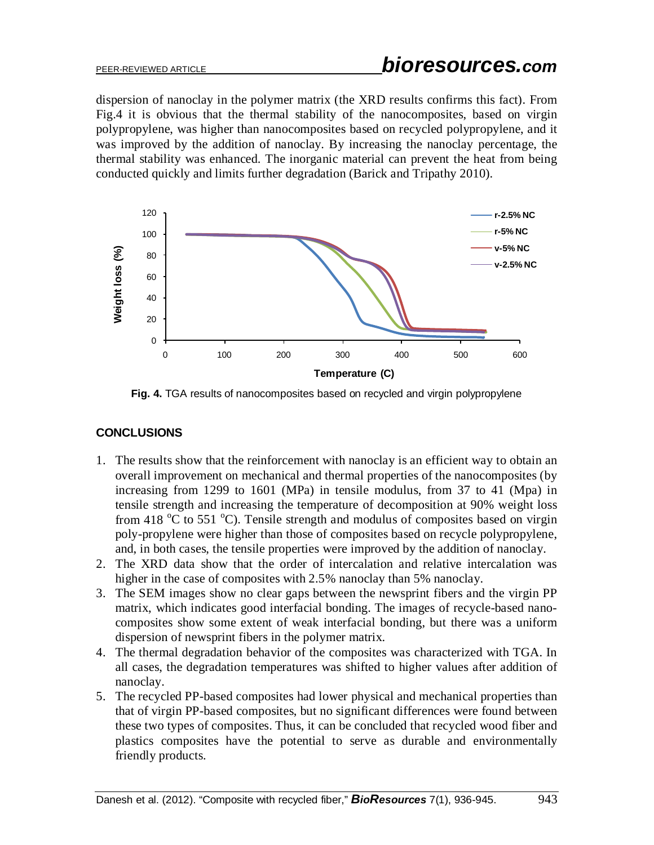dispersion of nanoclay in the polymer matrix (the XRD results confirms this fact). From Fig.4 it is obvious that the thermal stability of the nanocomposites, based on virgin polypropylene, was higher than nanocomposites based on recycled polypropylene, and it was improved by the addition of nanoclay. By increasing the nanoclay percentage, the thermal stability was enhanced. The inorganic material can prevent the heat from being conducted quickly and limits further degradation (Barick and Tripathy 2010).



**Fig. 4.** TGA results of nanocomposites based on recycled and virgin polypropylene

## **CONCLUSIONS**

- 1. The results show that the reinforcement with nanoclay is an efficient way to obtain an overall improvement on mechanical and thermal properties of the nanocomposites (by increasing from 1299 to 1601 (MPa) in tensile modulus, from 37 to 41 (Mpa) in tensile strength and increasing the temperature of decomposition at 90% weight loss from 418  $\rm{°C}$  to 551  $\rm{°C}$ ). Tensile strength and modulus of composites based on virgin poly-propylene were higher than those of composites based on recycle polypropylene, and, in both cases, the tensile properties were improved by the addition of nanoclay.
- 2. The XRD data show that the order of intercalation and relative intercalation was higher in the case of composites with 2.5% nanoclay than 5% nanoclay.
- 3. The SEM images show no clear gaps between the newsprint fibers and the virgin PP matrix, which indicates good interfacial bonding. The images of recycle-based nanocomposites show some extent of weak interfacial bonding, but there was a uniform dispersion of newsprint fibers in the polymer matrix.
- 4. The thermal degradation behavior of the composites was characterized with TGA. In all cases, the degradation temperatures was shifted to higher values after addition of nanoclay.
- 5. The recycled PP-based composites had lower physical and mechanical properties than that of virgin PP-based composites, but no significant differences were found between these two types of composites. Thus, it can be concluded that recycled wood fiber and plastics composites have the potential to serve as durable and environmentally friendly products.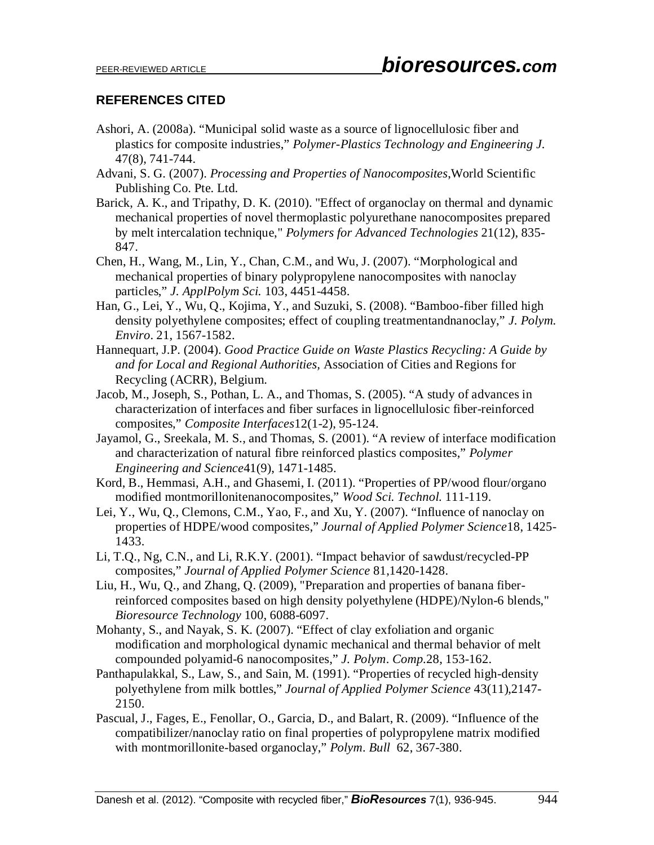## **REFERENCES CITED**

- Ashori, A. (2008a). "Municipal solid waste as a source of lignocellulosic fiber and plastics for composite industries," *Polymer-Plastics Technology and Engineering J.* 47(8), 741-744.
- Advani, S. G. (2007). *Processing and Properties of Nanocomposites*,World Scientific Publishing Co. Pte. Ltd.
- Barick, A. K., and Tripathy, D. K. (2010). "Effect of organoclay on thermal and dynamic mechanical properties of novel thermoplastic polyurethane nanocomposites prepared by melt intercalation technique," *Polymers for Advanced Technologies* 21(12), 835- 847.
- Chen, H., Wang, M., Lin, Y., Chan, C.M., and Wu, J. (2007). "Morphological and mechanical properties of binary polypropylene nanocomposites with nanoclay particles," *J. ApplPolym Sci.* 103, 4451-4458.
- Han, G., Lei, Y., Wu, Q., Kojima, Y., and Suzuki, S. (2008). "Bamboo-fiber filled high density polyethylene composites; effect of coupling treatmentandnanoclay," *J. Polym. Enviro*. 21, 1567-1582.
- Hannequart, J.P. (2004). *Good Practice Guide on Waste Plastics Recycling: A Guide by and for Local and Regional Authorities,* Association of Cities and Regions for Recycling (ACRR), Belgium.
- Jacob, M., Joseph, S., Pothan, L. A., and Thomas, S. (2005). "A study of advances in characterization of interfaces and fiber surfaces in lignocellulosic fiber-reinforced composites," *Composite Interfaces*12(1-2), 95-124.
- Jayamol, G., Sreekala, M. S., and Thomas, S. (2001). "A review of interface modification and characterization of natural fibre reinforced plastics composites," *Polymer Engineering and Science*41(9), 1471-1485.
- Kord, B., Hemmasi, A.H., and Ghasemi, I. (2011). "Properties of PP/wood flour/organo modified montmorillonitenanocomposites," *Wood Sci. Technol.* 111-119.
- Lei, Y., Wu, Q., Clemons, C.M., Yao, F., and Xu, Y. (2007). "Influence of nanoclay on properties of HDPE/wood composites," *Journal of Applied Polymer Science*18, 1425- 1433.
- Li, T.Q., Ng, C.N., and Li, R.K.Y. (2001). "Impact behavior of sawdust/recycled-PP composites," *Journal of Applied Polymer Science* 81,1420-1428.
- Liu, H., Wu, Q., and Zhang, Q. (2009), "Preparation and properties of banana fiberreinforced composites based on high density polyethylene (HDPE)/Nylon-6 blends," *Bioresource Technology* 100, 6088-6097.
- Mohanty, S., and Nayak, S. K. (2007). "Effect of clay exfoliation and organic modification and morphological dynamic mechanical and thermal behavior of melt compounded polyamid-6 nanocomposites," *J. Polym. Comp.*28, 153-162.
- Panthapulakkal, S., Law, S., and Sain, M. (1991). "Properties of recycled high-density polyethylene from milk bottles," *Journal of Applied Polymer Science* 43(11),2147- 2150.
- Pascual, J., Fages, E., Fenollar, O., Garcia, D., and Balart, R. (2009). "Influence of the compatibilizer/nanoclay ratio on final properties of polypropylene matrix modified with montmorillonite-based organoclay," *Polym. Bull* 62, 367-380.